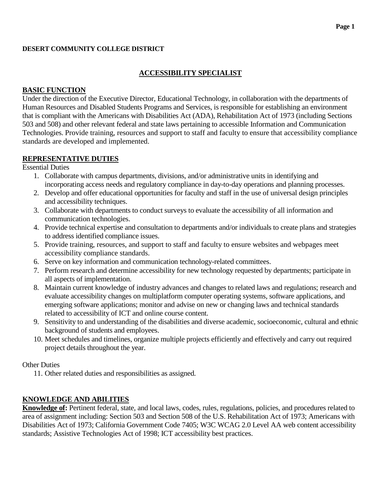#### **DESERT COMMUNITY COLLEGE DISTRICT**

## **ACCESSIBILITY SPECIALIST**

### **BASIC FUNCTION**

Under the direction of the Executive Director, Educational Technology, in collaboration with the departments of Human Resources and Disabled Students Programs and Services, is responsible for establishing an environment that is compliant with the Americans with Disabilities Act (ADA), Rehabilitation Act of 1973 (including Sections 503 and 508) and other relevant federal and state laws pertaining to accessible Information and Communication Technologies. Provide training, resources and support to staff and faculty to ensure that accessibility compliance standards are developed and implemented.

#### **REPRESENTATIVE DUTIES**

Essential Duties

- 1. Collaborate with campus departments, divisions, and/or administrative units in identifying and incorporating access needs and regulatory compliance in day-to-day operations and planning processes.
- 2. Develop and offer educational opportunities for faculty and staff in the use of universal design principles and accessibility techniques.
- 3. Collaborate with departments to conduct surveys to evaluate the accessibility of all information and communication technologies.
- 4. Provide technical expertise and consultation to departments and/or individuals to create plans and strategies to address identified compliance issues.
- 5. Provide training, resources, and support to staff and faculty to ensure websites and webpages meet accessibility compliance standards.
- 6. Serve on key information and communication technology-related committees.
- 7. Perform research and determine accessibility for new technology requested by departments; participate in all aspects of implementation.
- 8. Maintain current knowledge of industry advances and changes to related laws and regulations; research and evaluate accessibility changes on multiplatform computer operating systems, software applications, and emerging software applications; monitor and advise on new or changing laws and technical standards related to accessibility of ICT and online course content.
- 9. Sensitivity to and understanding of the disabilities and diverse academic, socioeconomic, cultural and ethnic background of students and employees.
- 10. Meet schedules and timelines, organize multiple projects efficiently and effectively and carry out required project details throughout the year.

#### Other Duties

11. Other related duties and responsibilities as assigned.

## **KNOWLEDGE AND ABILITIES**

**Knowledge of:** Pertinent federal, state, and local laws, codes, rules, regulations, policies, and procedures related to area of assignment including: Section 503 and Section 508 of the U.S. Rehabilitation Act of 1973; Americans with Disabilities Act of 1973; California Government Code 7405; W3C WCAG 2.0 Level AA web content accessibility standards; Assistive Technologies Act of 1998; ICT accessibility best practices.